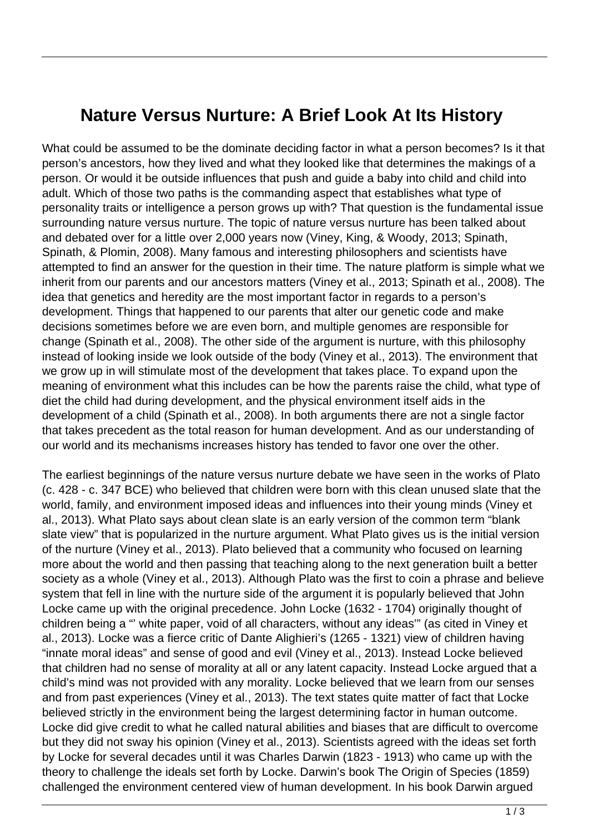## **Nature Versus Nurture: A Brief Look At Its History**

What could be assumed to be the dominate deciding factor in what a person becomes? Is it that person's ancestors, how they lived and what they looked like that determines the makings of a person. Or would it be outside influences that push and guide a baby into child and child into adult. Which of those two paths is the commanding aspect that establishes what type of personality traits or intelligence a person grows up with? That question is the fundamental issue surrounding nature versus nurture. The topic of nature versus nurture has been talked about and debated over for a little over 2,000 years now (Viney, King, & Woody, 2013; Spinath, Spinath, & Plomin, 2008). Many famous and interesting philosophers and scientists have attempted to find an answer for the question in their time. The nature platform is simple what we inherit from our parents and our ancestors matters (Viney et al., 2013; Spinath et al., 2008). The idea that genetics and heredity are the most important factor in regards to a person's development. Things that happened to our parents that alter our genetic code and make decisions sometimes before we are even born, and multiple genomes are responsible for change (Spinath et al., 2008). The other side of the argument is nurture, with this philosophy instead of looking inside we look outside of the body (Viney et al., 2013). The environment that we grow up in will stimulate most of the development that takes place. To expand upon the meaning of environment what this includes can be how the parents raise the child, what type of diet the child had during development, and the physical environment itself aids in the development of a child (Spinath et al., 2008). In both arguments there are not a single factor that takes precedent as the total reason for human development. And as our understanding of our world and its mechanisms increases history has tended to favor one over the other.

The earliest beginnings of the nature versus nurture debate we have seen in the works of Plato (c. 428 - c. 347 BCE) who believed that children were born with this clean unused slate that the world, family, and environment imposed ideas and influences into their young minds (Viney et al., 2013). What Plato says about clean slate is an early version of the common term "blank slate view" that is popularized in the nurture argument. What Plato gives us is the initial version of the nurture (Viney et al., 2013). Plato believed that a community who focused on learning more about the world and then passing that teaching along to the next generation built a better society as a whole (Viney et al., 2013). Although Plato was the first to coin a phrase and believe system that fell in line with the nurture side of the argument it is popularly believed that John Locke came up with the original precedence. John Locke (1632 - 1704) originally thought of children being a "' white paper, void of all characters, without any ideas'" (as cited in Viney et al., 2013). Locke was a fierce critic of Dante Alighieri's (1265 - 1321) view of children having "innate moral ideas" and sense of good and evil (Viney et al., 2013). Instead Locke believed that children had no sense of morality at all or any latent capacity. Instead Locke argued that a child's mind was not provided with any morality. Locke believed that we learn from our senses and from past experiences (Viney et al., 2013). The text states quite matter of fact that Locke believed strictly in the environment being the largest determining factor in human outcome. Locke did give credit to what he called natural abilities and biases that are difficult to overcome but they did not sway his opinion (Viney et al., 2013). Scientists agreed with the ideas set forth by Locke for several decades until it was Charles Darwin (1823 - 1913) who came up with the theory to challenge the ideals set forth by Locke. Darwin's book The Origin of Species (1859) challenged the environment centered view of human development. In his book Darwin argued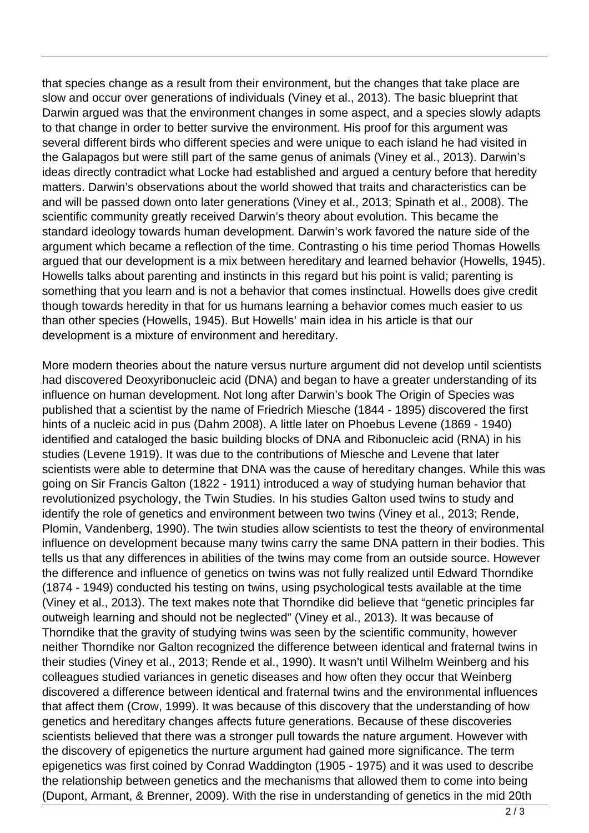that species change as a result from their environment, but the changes that take place are slow and occur over generations of individuals (Viney et al., 2013). The basic blueprint that Darwin argued was that the environment changes in some aspect, and a species slowly adapts to that change in order to better survive the environment. His proof for this argument was several different birds who different species and were unique to each island he had visited in the Galapagos but were still part of the same genus of animals (Viney et al., 2013). Darwin's ideas directly contradict what Locke had established and argued a century before that heredity matters. Darwin's observations about the world showed that traits and characteristics can be and will be passed down onto later generations (Viney et al., 2013; Spinath et al., 2008). The scientific community greatly received Darwin's theory about evolution. This became the standard ideology towards human development. Darwin's work favored the nature side of the argument which became a reflection of the time. Contrasting o his time period Thomas Howells argued that our development is a mix between hereditary and learned behavior (Howells, 1945). Howells talks about parenting and instincts in this regard but his point is valid; parenting is something that you learn and is not a behavior that comes instinctual. Howells does give credit though towards heredity in that for us humans learning a behavior comes much easier to us than other species (Howells, 1945). But Howells' main idea in his article is that our development is a mixture of environment and hereditary.

More modern theories about the nature versus nurture argument did not develop until scientists had discovered Deoxyribonucleic acid (DNA) and began to have a greater understanding of its influence on human development. Not long after Darwin's book The Origin of Species was published that a scientist by the name of Friedrich Miesche (1844 - 1895) discovered the first hints of a nucleic acid in pus (Dahm 2008). A little later on Phoebus Levene (1869 - 1940) identified and cataloged the basic building blocks of DNA and Ribonucleic acid (RNA) in his studies (Levene 1919). It was due to the contributions of Miesche and Levene that later scientists were able to determine that DNA was the cause of hereditary changes. While this was going on Sir Francis Galton (1822 - 1911) introduced a way of studying human behavior that revolutionized psychology, the Twin Studies. In his studies Galton used twins to study and identify the role of genetics and environment between two twins (Viney et al., 2013; Rende, Plomin, Vandenberg, 1990). The twin studies allow scientists to test the theory of environmental influence on development because many twins carry the same DNA pattern in their bodies. This tells us that any differences in abilities of the twins may come from an outside source. However the difference and influence of genetics on twins was not fully realized until Edward Thorndike (1874 - 1949) conducted his testing on twins, using psychological tests available at the time (Viney et al., 2013). The text makes note that Thorndike did believe that "genetic principles far outweigh learning and should not be neglected" (Viney et al., 2013). It was because of Thorndike that the gravity of studying twins was seen by the scientific community, however neither Thorndike nor Galton recognized the difference between identical and fraternal twins in their studies (Viney et al., 2013; Rende et al., 1990). It wasn't until Wilhelm Weinberg and his colleagues studied variances in genetic diseases and how often they occur that Weinberg discovered a difference between identical and fraternal twins and the environmental influences that affect them (Crow, 1999). It was because of this discovery that the understanding of how genetics and hereditary changes affects future generations. Because of these discoveries scientists believed that there was a stronger pull towards the nature argument. However with the discovery of epigenetics the nurture argument had gained more significance. The term epigenetics was first coined by Conrad Waddington (1905 - 1975) and it was used to describe the relationship between genetics and the mechanisms that allowed them to come into being (Dupont, Armant, & Brenner, 2009). With the rise in understanding of genetics in the mid 20th